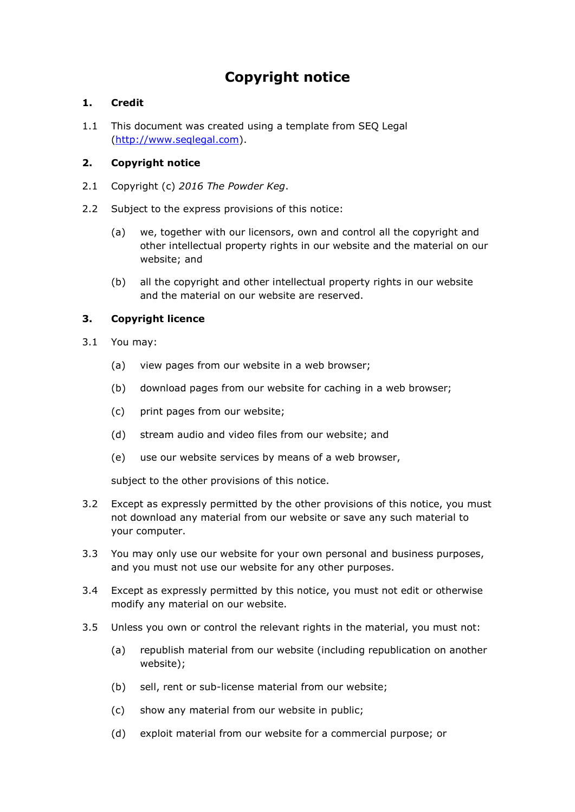# **Copyright notice**

## **1. Credit**

1.1 This document was created using a template from SEQ Legal [\(http://www.seqlegal.com\)](http://www.seqlegal.com/).

## **2. Copyright notice**

- 2.1 Copyright (c) *2016 The Powder Keg*.
- 2.2 Subject to the express provisions of this notice:
	- (a) we, together with our licensors, own and control all the copyright and other intellectual property rights in our website and the material on our website; and
	- (b) all the copyright and other intellectual property rights in our website and the material on our website are reserved.

## **3. Copyright licence**

- 3.1 You may:
	- (a) view pages from our website in a web browser;
	- (b) download pages from our website for caching in a web browser;
	- (c) print pages from our website;
	- (d) stream audio and video files from our website; and
	- (e) use our website services by means of a web browser,

subject to the other provisions of this notice.

- 3.2 Except as expressly permitted by the other provisions of this notice, you must not download any material from our website or save any such material to your computer.
- 3.3 You may only use our website for your own personal and business purposes, and you must not use our website for any other purposes.
- 3.4 Except as expressly permitted by this notice, you must not edit or otherwise modify any material on our website.
- 3.5 Unless you own or control the relevant rights in the material, you must not:
	- (a) republish material from our website (including republication on another website);
	- (b) sell, rent or sub-license material from our website;
	- (c) show any material from our website in public;
	- (d) exploit material from our website for a commercial purpose; or